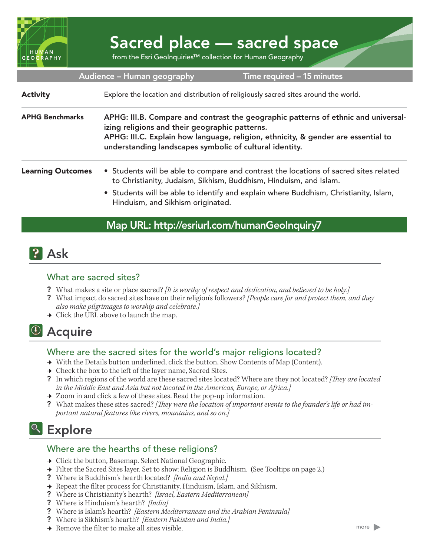

# Sacred place — sacred space

from the Esri GeoInquiries™ collection for Human Geography

| Audience - Human geography<br>Time required - 15 minutes |                                                                                                                                                                                                                                                                                         |
|----------------------------------------------------------|-----------------------------------------------------------------------------------------------------------------------------------------------------------------------------------------------------------------------------------------------------------------------------------------|
| <b>Activity</b>                                          | Explore the location and distribution of religiously sacred sites around the world.                                                                                                                                                                                                     |
| <b>APHG Benchmarks</b>                                   | APHG: III.B. Compare and contrast the geographic patterns of ethnic and universal-<br>izing religions and their geographic patterns.<br>APHG: III.C. Explain how language, religion, ethnicity, & gender are essential to<br>understanding landscapes symbolic of cultural identity.    |
| <b>Learning Outcomes</b>                                 | • Students will be able to compare and contrast the locations of sacred sites related<br>to Christianity, Judaism, Sikhism, Buddhism, Hinduism, and Islam.<br>• Students will be able to identify and explain where Buddhism, Christianity, Islam,<br>Hinduism, and Sikhism originated. |

### Map URL: http://esriurl.com/humanGeoInquiry7

## **P** Ask

#### What are sacred sites?

- ? What makes a site or place sacred? *[It is worthy of respect and dedication, and believed to be holy.]*
- ? What impact do sacred sites have on their religion's followers? *[People care for and protect them, and they also make pilgrimages to worship and celebrate.]*
- $\rightarrow$  Click the URL above to launch the map.

# <sup>4</sup> Acquire

#### Where are the sacred sites for the world's major religions located?

- → With the Details button underlined, click the button, Show Contents of Map (Content).
- $\rightarrow$  Check the box to the left of the layer name, Sacred Sites.
- ? In which regions of the world are these sacred sites located? Where are they not located? *[They are located in the Middle East and Asia but not located in the Americas, Europe, or Africa.]*
- $\rightarrow$  Zoom in and click a few of these sites. Read the pop-up information.
- ? What makes these sites sacred? *[They were the location of important events to the founder's life or had important natural features like rivers, mountains, and so on.]*

# <sup>Q</sup> Explore

#### Where are the hearths of these religions?

- **→** Click the button, Basemap. Select National Geographic.
- → Filter the Sacred Sites layer. Set to show: Religion is Buddhism. (See Tooltips on page 2.)
- ? Where is Buddhism's hearth located? *[India and Nepal.]*
- → Repeat the filter process for Christianity, Hinduism, Islam, and Sikhism.
- ? Where is Christianity's hearth? *[Israel, Eastern Mediterranean]*
- ? Where is Hinduism's hearth? *[India]*
- ? Where is Islam's hearth? *[Eastern Mediterranean and the Arabian Peninsula]*
- ? Where is Sikhism's hearth? *[Eastern Pakistan and India.]*
- $\rightarrow$  Remove the filter to make all sites visible.